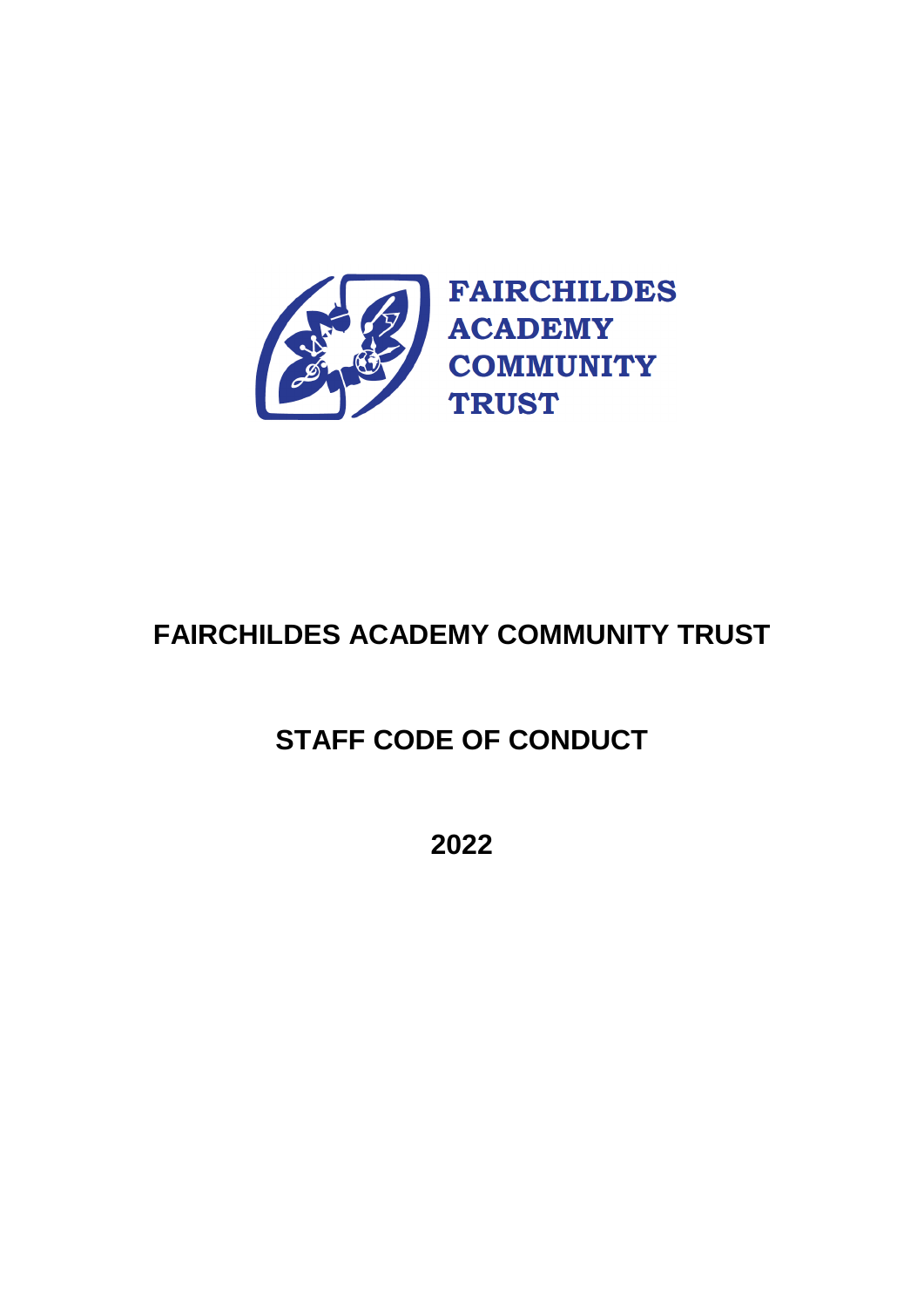

# **FAIRCHILDES ACADEMY COMMUNITY TRUST**

# **STAFF CODE OF CONDUCT**

**2022**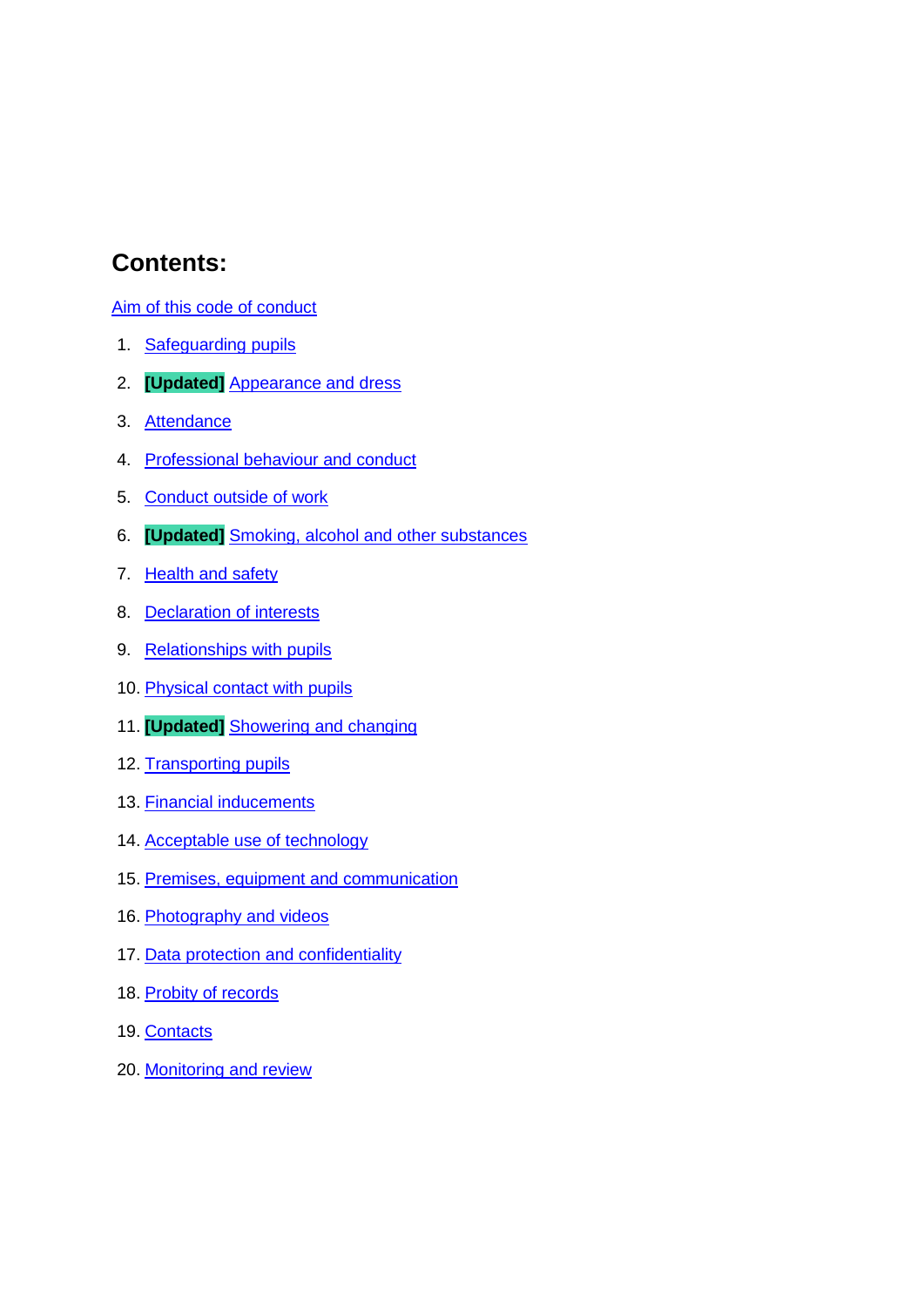## **Contents:**

[Aim of this code of conduct](#page-2-0)

- 1. [Safeguarding pupils](#page-3-0)
- 2. **[Updated]** [Appearance and dress](#page-3-1)
- 3. [Attendance](#page-4-0)
- 4. [Professional behaviour and conduct](#page-4-1)
- 5. Conduct outside of work
- 6. **[Updated]** [Smoking, alcohol and other substances](#page-5-0)
- 7. [Health and safety](#page-5-1)
- 8. [Declaration of interests](#page-5-2)
- 9. [Relationships with pupils](#page-6-0)
- 10. Physical contact with pupils
- 11. **[Updated]** [Showering and changing](#page-8-0)
- 12. [Transporting pupils](#page-8-1)
- 13. Financial inducements
- 14. Acceptable use of technology
- 15. [Premises, equipment and communication](#page-9-0)
- 16. Photography and videos
- 17. Data protection and confidentiality
- 18. [Probity of records](#page-11-0)
- 19. [Contacts](#page-11-1)
- 20. [Monitoring and review](#page-11-2)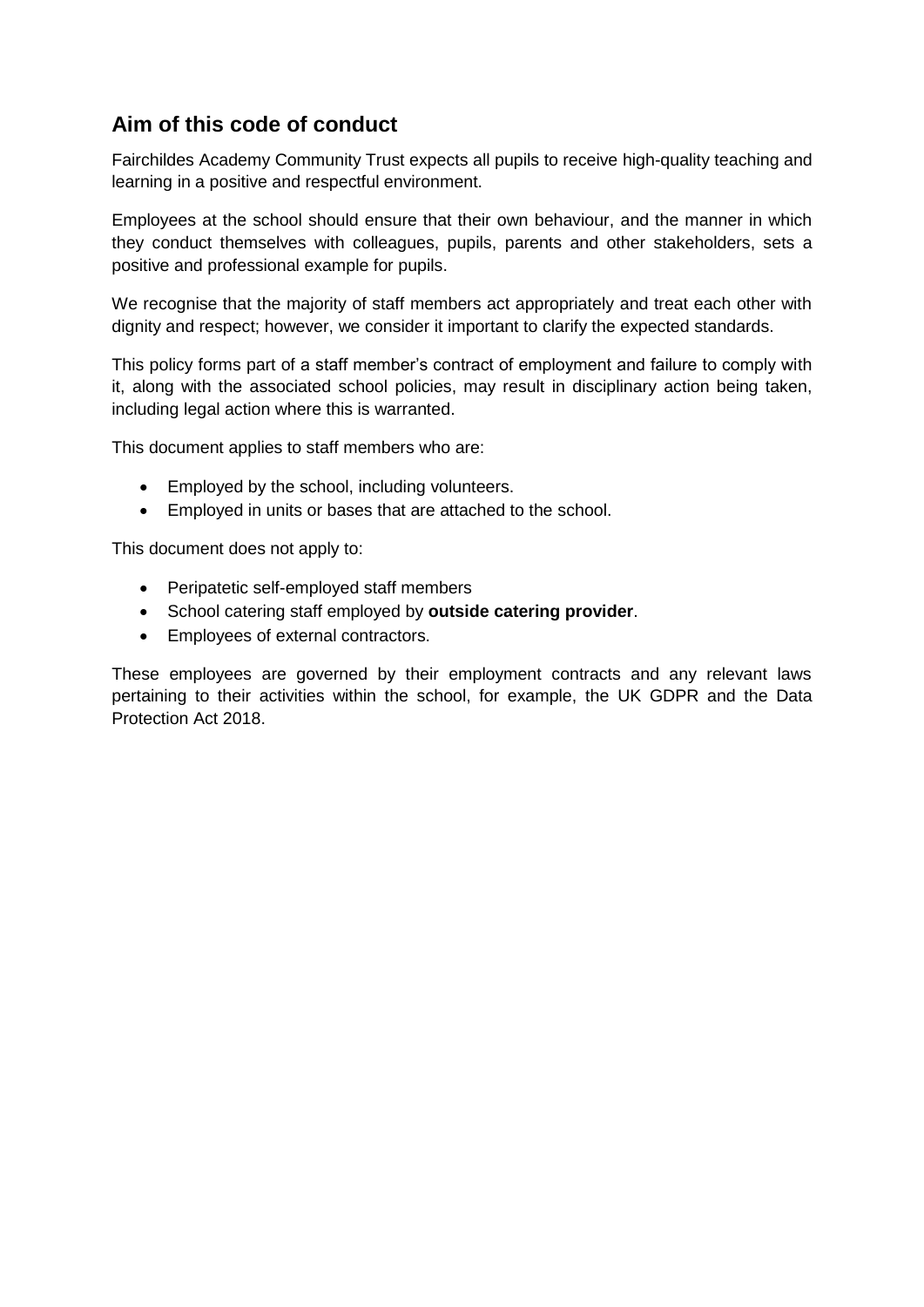## <span id="page-2-0"></span>**Aim of this code of conduct**

Fairchildes Academy Community Trust expects all pupils to receive high-quality teaching and learning in a positive and respectful environment.

Employees at the school should ensure that their own behaviour, and the manner in which they conduct themselves with colleagues, pupils, parents and other stakeholders, sets a positive and professional example for pupils.

We recognise that the majority of staff members act appropriately and treat each other with dignity and respect; however, we consider it important to clarify the expected standards.

This policy forms part of a staff member's contract of employment and failure to comply with it, along with the associated school policies, may result in disciplinary action being taken, including legal action where this is warranted.

This document applies to staff members who are:

- Employed by the school, including volunteers.
- Employed in units or bases that are attached to the school.

This document does not apply to:

- Peripatetic self-employed staff members
- School catering staff employed by **outside catering provider**.
- Employees of external contractors.

These employees are governed by their employment contracts and any relevant laws pertaining to their activities within the school, for example, the UK GDPR and the Data Protection Act 2018.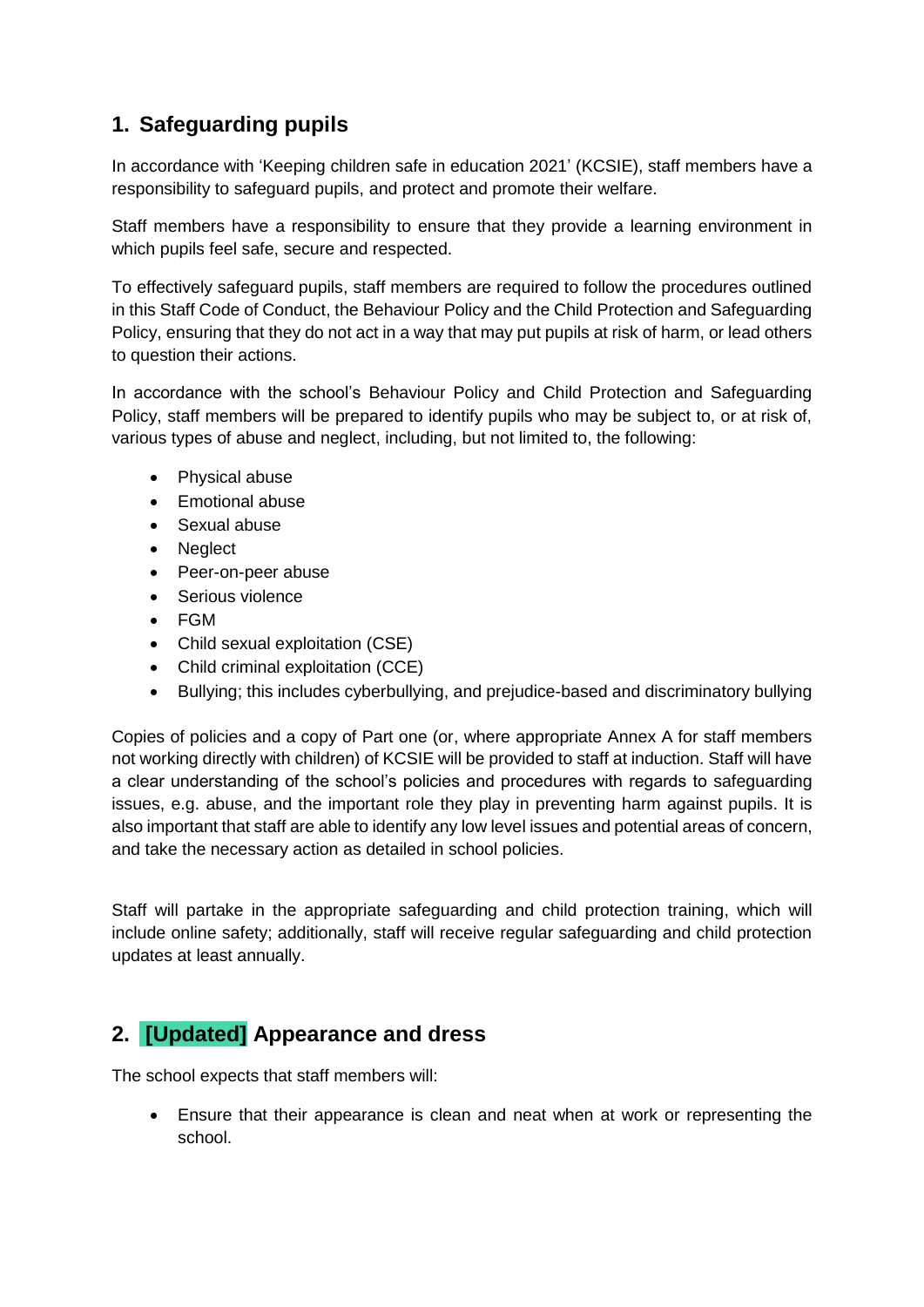## <span id="page-3-0"></span>**1. Safeguarding pupils**

In accordance with 'Keeping children safe in education 2021' (KCSIE), staff members have a responsibility to safeguard pupils, and protect and promote their welfare.

Staff members have a responsibility to ensure that they provide a learning environment in which pupils feel safe, secure and respected.

To effectively safeguard pupils, staff members are required to follow the procedures outlined in this Staff Code of Conduct, the Behaviour Policy and the Child Protection and Safeguarding Policy, ensuring that they do not act in a way that may put pupils at risk of harm, or lead others to question their actions.

In accordance with the school's Behaviour Policy and Child Protection and Safeguarding Policy, staff members will be prepared to identify pupils who may be subject to, or at risk of, various types of abuse and neglect, including, but not limited to, the following:

- Physical abuse
- Emotional abuse
- Sexual abuse
- Neglect
- Peer-on-peer abuse
- Serious violence
- FGM
- Child sexual exploitation (CSE)
- Child criminal exploitation (CCE)
- Bullying; this includes cyberbullying, and prejudice-based and discriminatory bullying

Copies of policies and a copy of Part one (or, where appropriate Annex A for staff members not working directly with children) of KCSIE will be provided to staff at induction. Staff will have a clear understanding of the school's policies and procedures with regards to safeguarding issues, e.g. abuse, and the important role they play in preventing harm against pupils. It is also important that staff are able to identify any low level issues and potential areas of concern, and take the necessary action as detailed in school policies.

Staff will partake in the appropriate safeguarding and child protection training, which will include online safety; additionally, staff will receive regular safeguarding and child protection updates at least annually.

# <span id="page-3-1"></span>**2. [Updated] Appearance and dress**

The school expects that staff members will:

 Ensure that their appearance is clean and neat when at work or representing the school.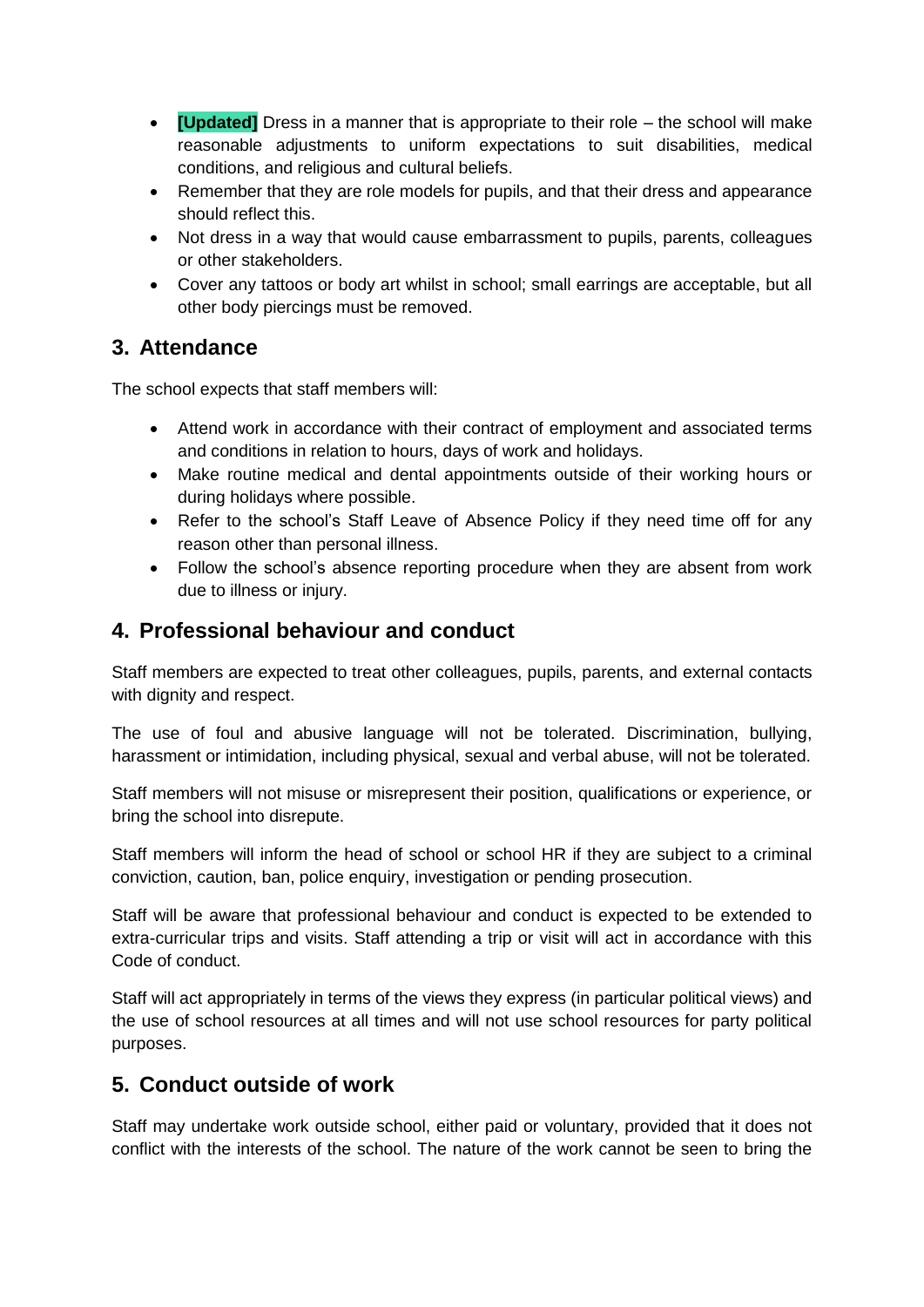- **[Updated]** Dress in a manner that is appropriate to their role the school will make reasonable adjustments to uniform expectations to suit disabilities, medical conditions, and religious and cultural beliefs.
- Remember that they are role models for pupils, and that their dress and appearance should reflect this.
- Not dress in a way that would cause embarrassment to pupils, parents, colleagues or other stakeholders.
- Cover any tattoos or body art whilst in school; small earrings are acceptable, but all other body piercings must be removed.

### <span id="page-4-0"></span>**3. Attendance**

The school expects that staff members will:

- Attend work in accordance with their contract of employment and associated terms and conditions in relation to hours, days of work and holidays.
- Make routine medical and dental appointments outside of their working hours or during holidays where possible.
- Refer to the school's Staff Leave of Absence Policy if they need time off for any reason other than personal illness.
- Follow the school's absence reporting procedure when they are absent from work due to illness or injury.

### <span id="page-4-1"></span>**4. Professional behaviour and conduct**

Staff members are expected to treat other colleagues, pupils, parents, and external contacts with dignity and respect.

The use of foul and abusive language will not be tolerated. Discrimination, bullying, harassment or intimidation, including physical, sexual and verbal abuse, will not be tolerated.

Staff members will not misuse or misrepresent their position, qualifications or experience, or bring the school into disrepute.

Staff members will inform the head of school or school HR if they are subject to a criminal conviction, caution, ban, police enquiry, investigation or pending prosecution.

Staff will be aware that professional behaviour and conduct is expected to be extended to extra-curricular trips and visits. Staff attending a trip or visit will act in accordance with this Code of conduct.

Staff will act appropriately in terms of the views they express (in particular political views) and the use of school resources at all times and will not use school resources for party political purposes.

#### <span id="page-4-2"></span>**5. Conduct outside of work**

Staff may undertake work outside school, either paid or voluntary, provided that it does not conflict with the interests of the school. The nature of the work cannot be seen to bring the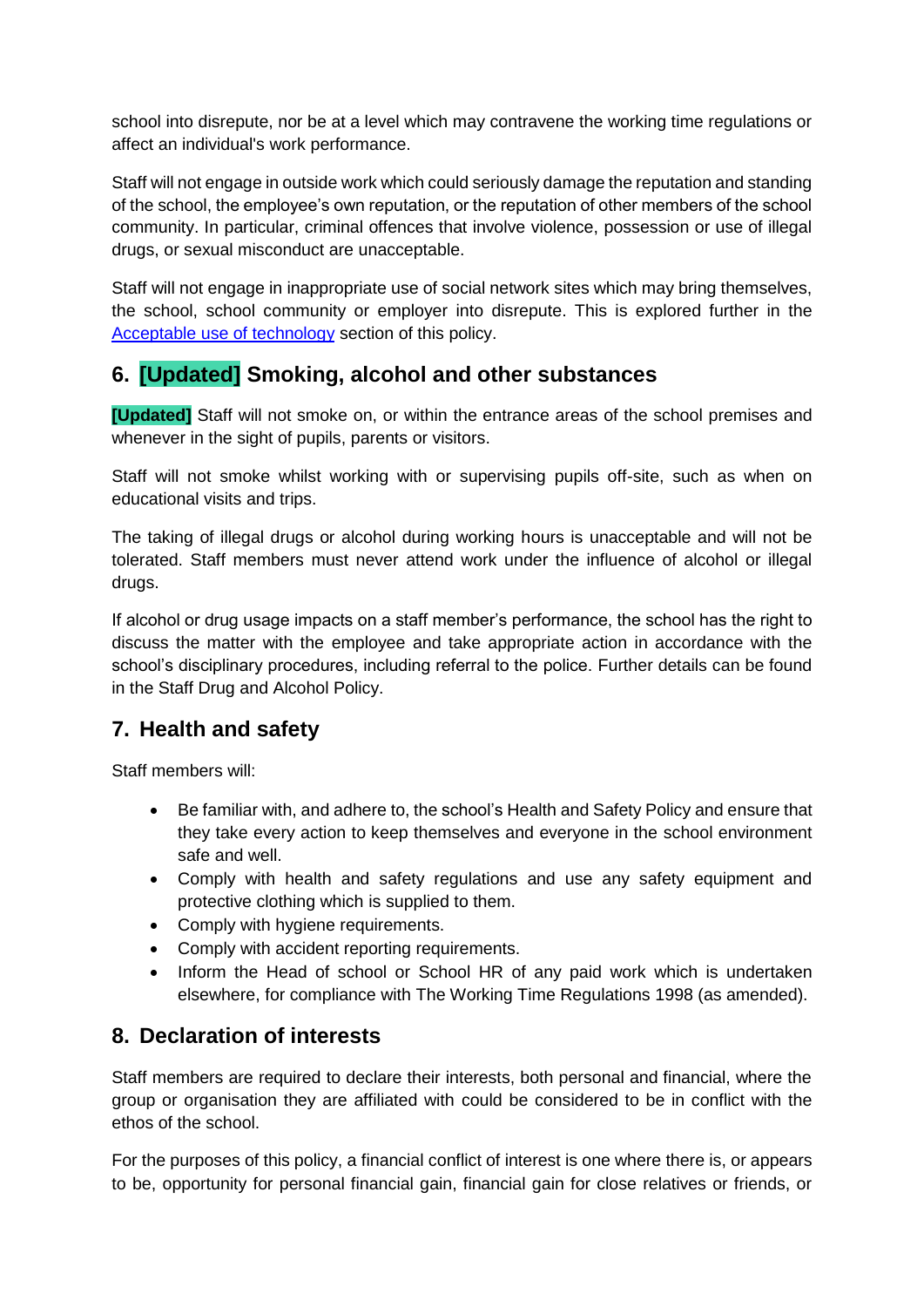school into disrepute, nor be at a level which may contravene the working time regulations or affect an individual's work performance.

Staff will not engage in outside work which could seriously damage the reputation and standing of the school, the employee's own reputation, or the reputation of other members of the school community. In particular, criminal offences that involve violence, possession or use of illegal drugs, or sexual misconduct are unacceptable.

Staff will not engage in inappropriate use of social network sites which may bring themselves, the school, school community or employer into disrepute. This is explored further in the [Acceptable use of technology](#page-9-1) section of this policy.

## <span id="page-5-0"></span>**6. [Updated] Smoking, alcohol and other substances**

**[Updated]** Staff will not smoke on, or within the entrance areas of the school premises and whenever in the sight of pupils, parents or visitors.

Staff will not smoke whilst working with or supervising pupils off-site, such as when on educational visits and trips.

The taking of illegal drugs or alcohol during working hours is unacceptable and will not be tolerated. Staff members must never attend work under the influence of alcohol or illegal drugs.

If alcohol or drug usage impacts on a staff member's performance, the school has the right to discuss the matter with the employee and take appropriate action in accordance with the school's disciplinary procedures, including referral to the police. Further details can be found in the Staff Drug and Alcohol Policy.

#### <span id="page-5-1"></span>**7. Health and safety**

Staff members will:

- Be familiar with, and adhere to, the school's Health and Safety Policy and ensure that they take every action to keep themselves and everyone in the school environment safe and well.
- Comply with health and safety regulations and use any safety equipment and protective clothing which is supplied to them.
- Comply with hygiene requirements.
- Comply with accident reporting requirements.
- Inform the Head of school or School HR of any paid work which is undertaken elsewhere, for compliance with The Working Time Regulations 1998 (as amended).

#### <span id="page-5-2"></span>**8. Declaration of interests**

Staff members are required to declare their interests, both personal and financial, where the group or organisation they are affiliated with could be considered to be in conflict with the ethos of the school.

For the purposes of this policy, a financial conflict of interest is one where there is, or appears to be, opportunity for personal financial gain, financial gain for close relatives or friends, or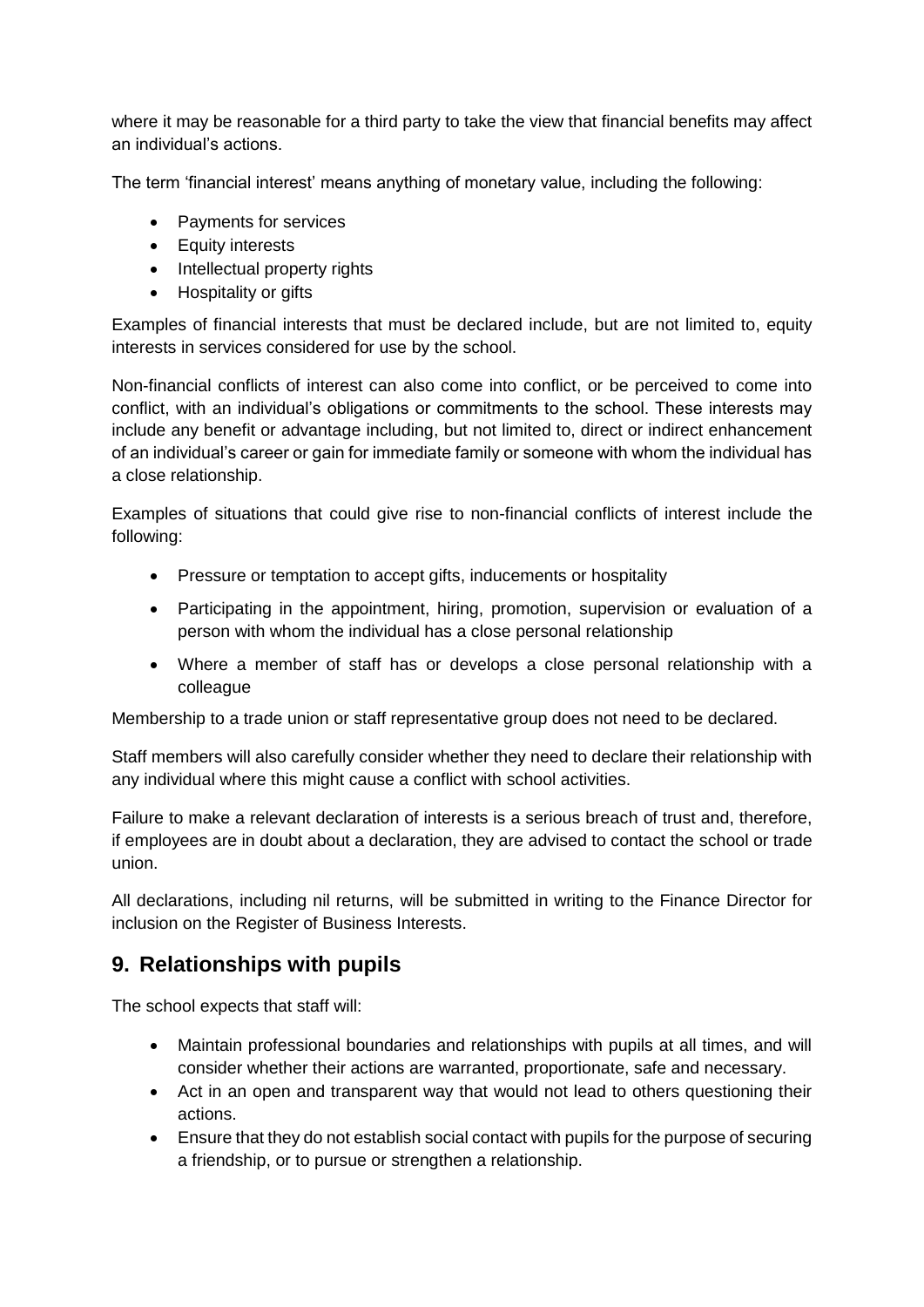where it may be reasonable for a third party to take the view that financial benefits may affect an individual's actions.

The term 'financial interest' means anything of monetary value, including the following:

- Payments for services
- Equity interests
- Intellectual property rights
- Hospitality or gifts

Examples of financial interests that must be declared include, but are not limited to, equity interests in services considered for use by the school.

Non-financial conflicts of interest can also come into conflict, or be perceived to come into conflict, with an individual's obligations or commitments to the school. These interests may include any benefit or advantage including, but not limited to, direct or indirect enhancement of an individual's career or gain for immediate family or someone with whom the individual has a close relationship.

Examples of situations that could give rise to non-financial conflicts of interest include the following:

- Pressure or temptation to accept gifts, inducements or hospitality
- Participating in the appointment, hiring, promotion, supervision or evaluation of a person with whom the individual has a close personal relationship
- Where a member of staff has or develops a close personal relationship with a colleague

Membership to a trade union or staff representative group does not need to be declared.

Staff members will also carefully consider whether they need to declare their relationship with any individual where this might cause a conflict with school activities.

Failure to make a relevant declaration of interests is a serious breach of trust and, therefore, if employees are in doubt about a declaration, they are advised to contact the school or trade union.

All declarations, including nil returns, will be submitted in writing to the Finance Director for inclusion on the Register of Business Interests.

## <span id="page-6-0"></span>**9. Relationships with pupils**

The school expects that staff will:

- Maintain professional boundaries and relationships with pupils at all times, and will consider whether their actions are warranted, proportionate, safe and necessary.
- Act in an open and transparent way that would not lead to others questioning their actions.
- Ensure that they do not establish social contact with pupils for the purpose of securing a friendship, or to pursue or strengthen a relationship.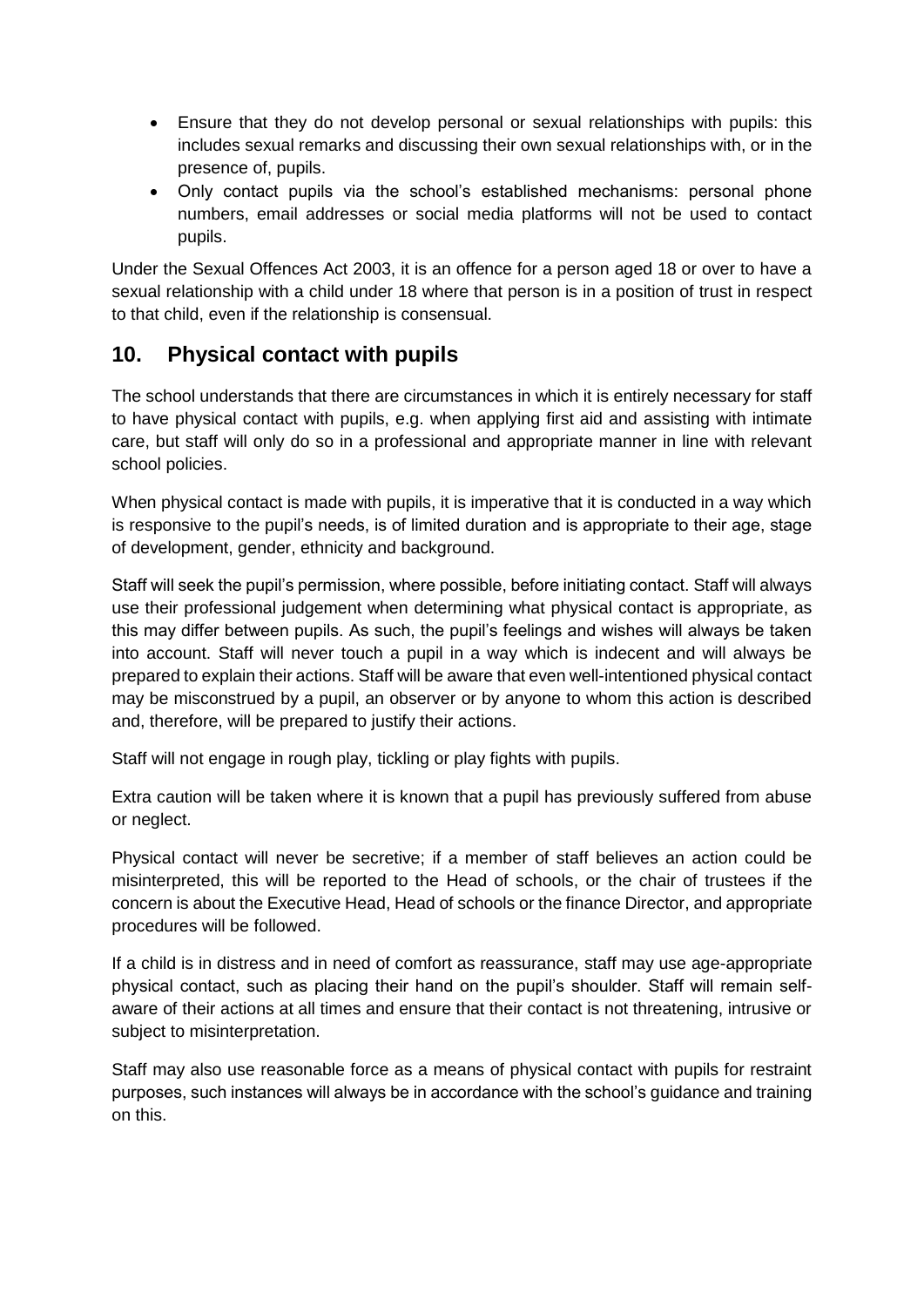- Ensure that they do not develop personal or sexual relationships with pupils: this includes sexual remarks and discussing their own sexual relationships with, or in the presence of, pupils.
- Only contact pupils via the school's established mechanisms: personal phone numbers, email addresses or social media platforms will not be used to contact pupils.

Under the Sexual Offences Act 2003, it is an offence for a person aged 18 or over to have a sexual relationship with a child under 18 where that person is in a position of trust in respect to that child, even if the relationship is consensual.

#### **10. Physical contact with pupils**

The school understands that there are circumstances in which it is entirely necessary for staff to have physical contact with pupils, e.g. when applying first aid and assisting with intimate care, but staff will only do so in a professional and appropriate manner in line with relevant school policies.

When physical contact is made with pupils, it is imperative that it is conducted in a way which is responsive to the pupil's needs, is of limited duration and is appropriate to their age, stage of development, gender, ethnicity and background.

Staff will seek the pupil's permission, where possible, before initiating contact. Staff will always use their professional judgement when determining what physical contact is appropriate, as this may differ between pupils. As such, the pupil's feelings and wishes will always be taken into account. Staff will never touch a pupil in a way which is indecent and will always be prepared to explain their actions. Staff will be aware that even well-intentioned physical contact may be misconstrued by a pupil, an observer or by anyone to whom this action is described and, therefore, will be prepared to justify their actions.

Staff will not engage in rough play, tickling or play fights with pupils.

Extra caution will be taken where it is known that a pupil has previously suffered from abuse or neglect.

Physical contact will never be secretive; if a member of staff believes an action could be misinterpreted, this will be reported to the Head of schools, or the chair of trustees if the concern is about the Executive Head, Head of schools or the finance Director, and appropriate procedures will be followed.

If a child is in distress and in need of comfort as reassurance, staff may use age-appropriate physical contact, such as placing their hand on the pupil's shoulder. Staff will remain selfaware of their actions at all times and ensure that their contact is not threatening, intrusive or subject to misinterpretation.

Staff may also use reasonable force as a means of physical contact with pupils for restraint purposes, such instances will always be in accordance with the school's guidance and training on this.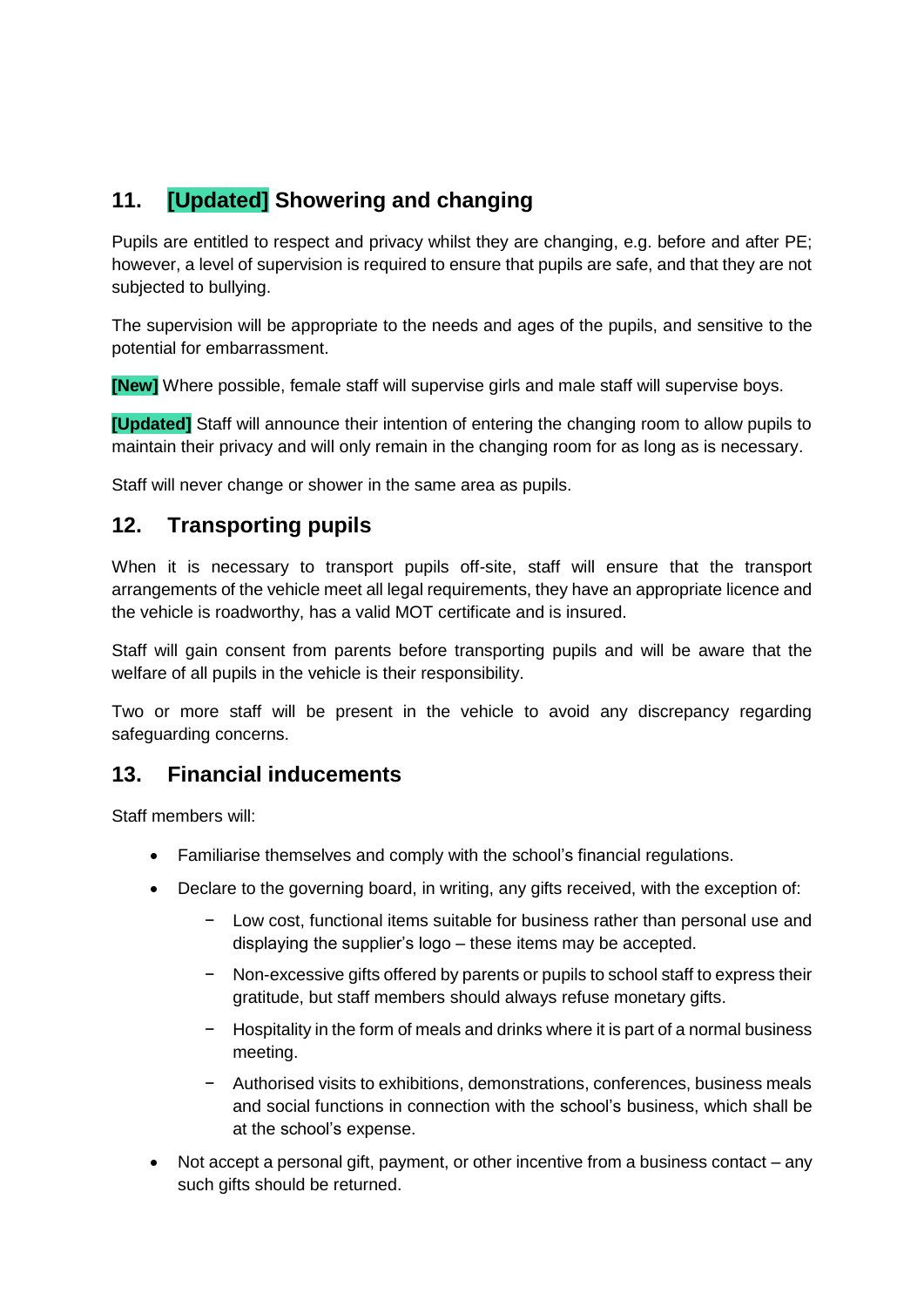## <span id="page-8-0"></span>**11. [Updated] Showering and changing**

Pupils are entitled to respect and privacy whilst they are changing, e.g. before and after PE; however, a level of supervision is required to ensure that pupils are safe, and that they are not subjected to bullying.

The supervision will be appropriate to the needs and ages of the pupils, and sensitive to the potential for embarrassment.

**[New]** Where possible, female staff will supervise girls and male staff will supervise boys.

**[Updated]** Staff will announce their intention of entering the changing room to allow pupils to maintain their privacy and will only remain in the changing room for as long as is necessary.

Staff will never change or shower in the same area as pupils.

#### <span id="page-8-1"></span>**12. Transporting pupils**

When it is necessary to transport pupils off-site, staff will ensure that the transport arrangements of the vehicle meet all legal requirements, they have an appropriate licence and the vehicle is roadworthy, has a valid MOT certificate and is insured.

Staff will gain consent from parents before transporting pupils and will be aware that the welfare of all pupils in the vehicle is their responsibility.

Two or more staff will be present in the vehicle to avoid any discrepancy regarding safeguarding concerns.

#### <span id="page-8-2"></span>**13. Financial inducements**

Staff members will:

- Familiarise themselves and comply with the school's financial regulations.
- Declare to the governing board, in writing, any gifts received, with the exception of:
	- Low cost, functional items suitable for business rather than personal use and displaying the supplier's logo – these items may be accepted.
	- Non-excessive gifts offered by parents or pupils to school staff to express their gratitude, but staff members should always refuse monetary gifts.
	- − Hospitality in the form of meals and drinks where it is part of a normal business meeting.
	- − Authorised visits to exhibitions, demonstrations, conferences, business meals and social functions in connection with the school's business, which shall be at the school's expense.
- Not accept a personal gift, payment, or other incentive from a business contact any such gifts should be returned.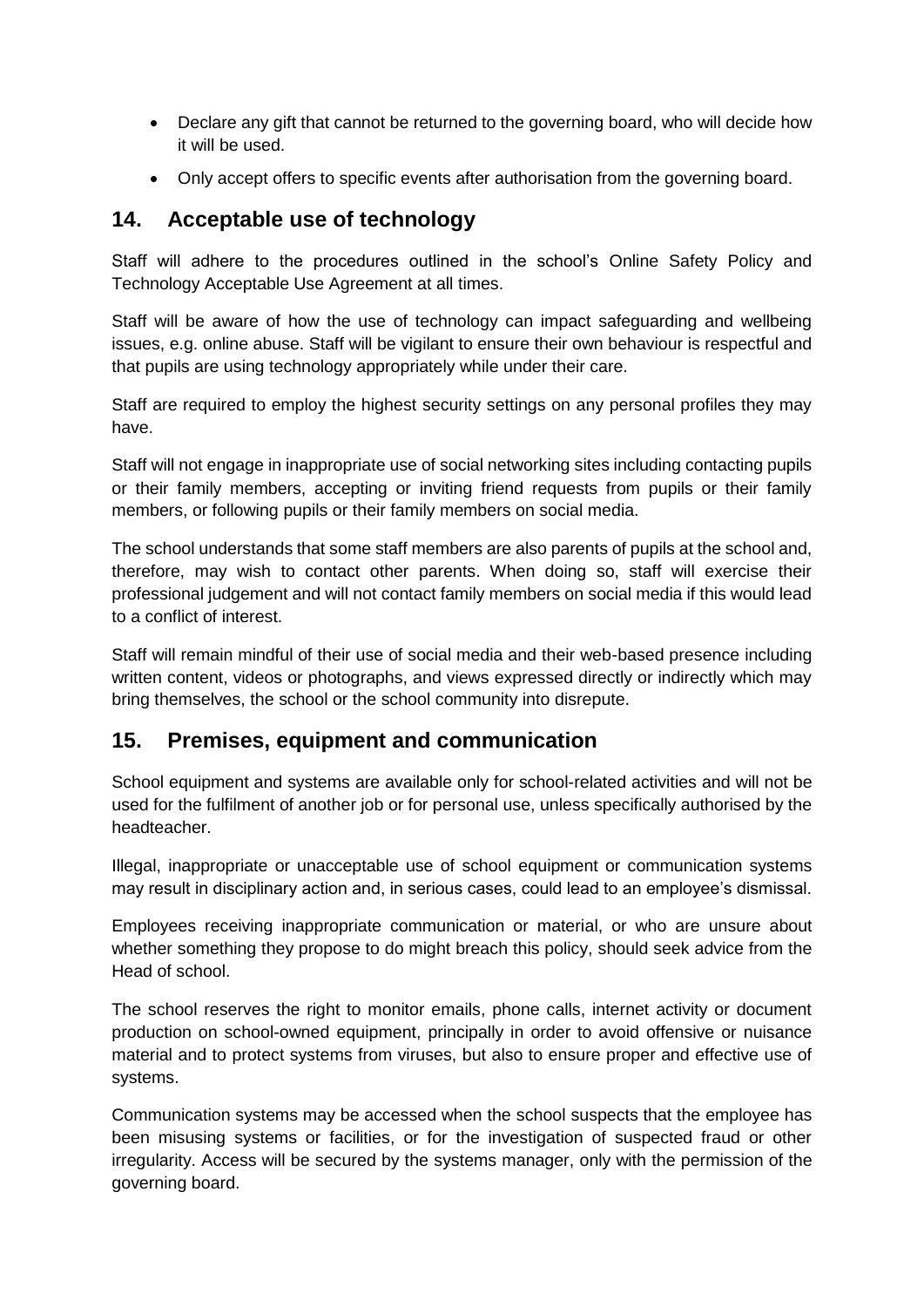- Declare any gift that cannot be returned to the governing board, who will decide how it will be used.
- Only accept offers to specific events after authorisation from the governing board.

#### <span id="page-9-1"></span>**14. Acceptable use of technology**

Staff will adhere to the procedures outlined in the school's Online Safety Policy and Technology Acceptable Use Agreement at all times.

Staff will be aware of how the use of technology can impact safeguarding and wellbeing issues, e.g. online abuse. Staff will be vigilant to ensure their own behaviour is respectful and that pupils are using technology appropriately while under their care.

Staff are required to employ the highest security settings on any personal profiles they may have.

Staff will not engage in inappropriate use of social networking sites including contacting pupils or their family members, accepting or inviting friend requests from pupils or their family members, or following pupils or their family members on social media.

The school understands that some staff members are also parents of pupils at the school and, therefore, may wish to contact other parents. When doing so, staff will exercise their professional judgement and will not contact family members on social media if this would lead to a conflict of interest.

Staff will remain mindful of their use of social media and their web-based presence including written content, videos or photographs, and views expressed directly or indirectly which may bring themselves, the school or the school community into disrepute.

#### <span id="page-9-0"></span>**15. Premises, equipment and communication**

School equipment and systems are available only for school-related activities and will not be used for the fulfilment of another job or for personal use, unless specifically authorised by the headteacher.

Illegal, inappropriate or unacceptable use of school equipment or communication systems may result in disciplinary action and, in serious cases, could lead to an employee's dismissal.

Employees receiving inappropriate communication or material, or who are unsure about whether something they propose to do might breach this policy, should seek advice from the Head of school.

The school reserves the right to monitor emails, phone calls, internet activity or document production on school-owned equipment, principally in order to avoid offensive or nuisance material and to protect systems from viruses, but also to ensure proper and effective use of systems.

Communication systems may be accessed when the school suspects that the employee has been misusing systems or facilities, or for the investigation of suspected fraud or other irregularity. Access will be secured by the systems manager, only with the permission of the governing board.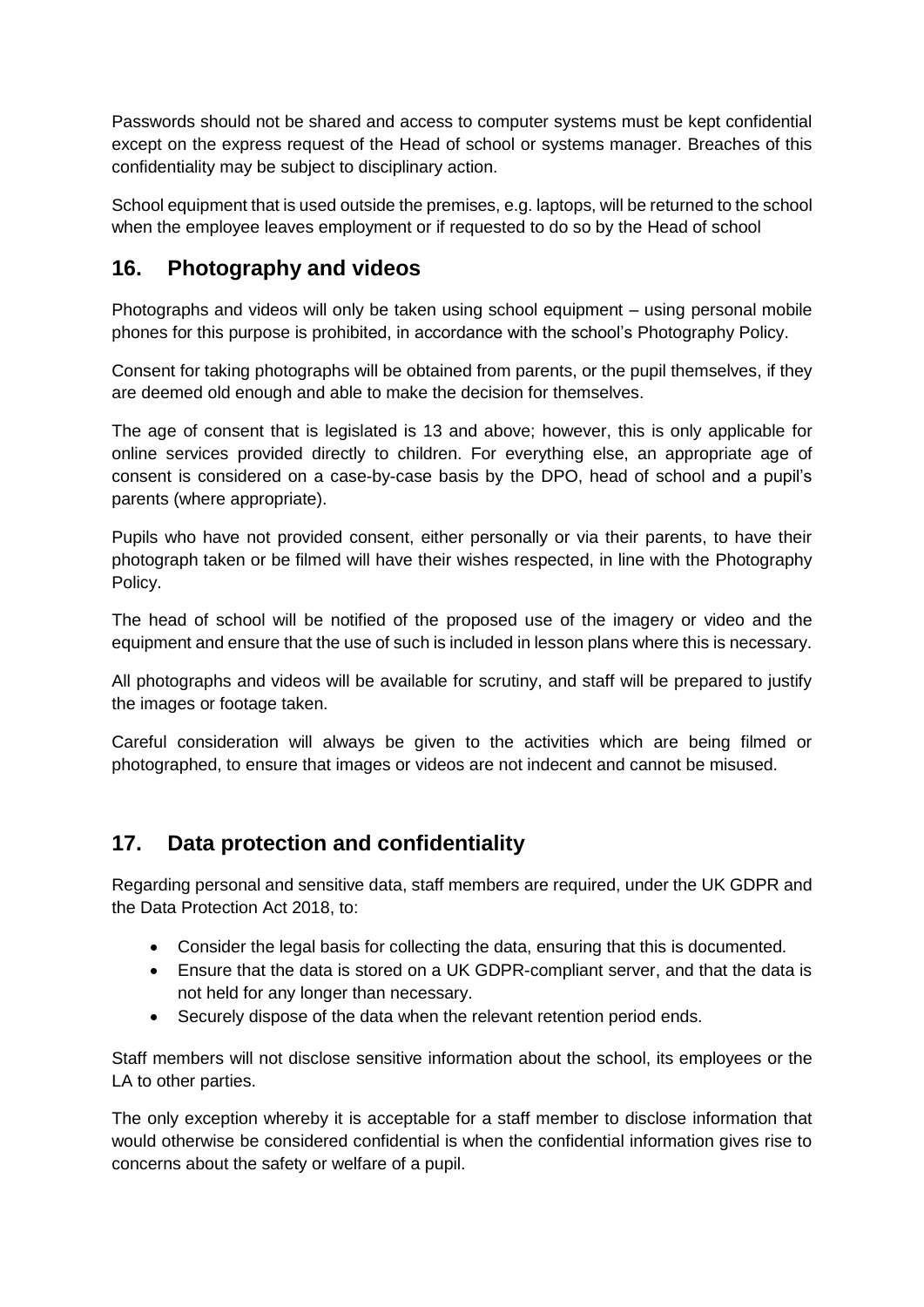Passwords should not be shared and access to computer systems must be kept confidential except on the express request of the Head of school or systems manager. Breaches of this confidentiality may be subject to disciplinary action.

School equipment that is used outside the premises, e.g. laptops, will be returned to the school when the employee leaves employment or if requested to do so by the Head of school

#### <span id="page-10-0"></span>**16. Photography and videos**

Photographs and videos will only be taken using school equipment – using personal mobile phones for this purpose is prohibited, in accordance with the school's Photography Policy.

Consent for taking photographs will be obtained from parents, or the pupil themselves, if they are deemed old enough and able to make the decision for themselves.

The age of consent that is legislated is 13 and above; however, this is only applicable for online services provided directly to children. For everything else, an appropriate age of consent is considered on a case-by-case basis by the DPO, head of school and a pupil's parents (where appropriate).

Pupils who have not provided consent, either personally or via their parents, to have their photograph taken or be filmed will have their wishes respected, in line with the Photography Policy.

The head of school will be notified of the proposed use of the imagery or video and the equipment and ensure that the use of such is included in lesson plans where this is necessary.

All photographs and videos will be available for scrutiny, and staff will be prepared to justify the images or footage taken.

Careful consideration will always be given to the activities which are being filmed or photographed, to ensure that images or videos are not indecent and cannot be misused.

#### <span id="page-10-1"></span>**17. Data protection and confidentiality**

Regarding personal and sensitive data, staff members are required, under the UK GDPR and the Data Protection Act 2018, to:

- Consider the legal basis for collecting the data, ensuring that this is documented.
- Ensure that the data is stored on a UK GDPR-compliant server, and that the data is not held for any longer than necessary.
- Securely dispose of the data when the relevant retention period ends.

Staff members will not disclose sensitive information about the school, its employees or the LA to other parties.

The only exception whereby it is acceptable for a staff member to disclose information that would otherwise be considered confidential is when the confidential information gives rise to concerns about the safety or welfare of a pupil.